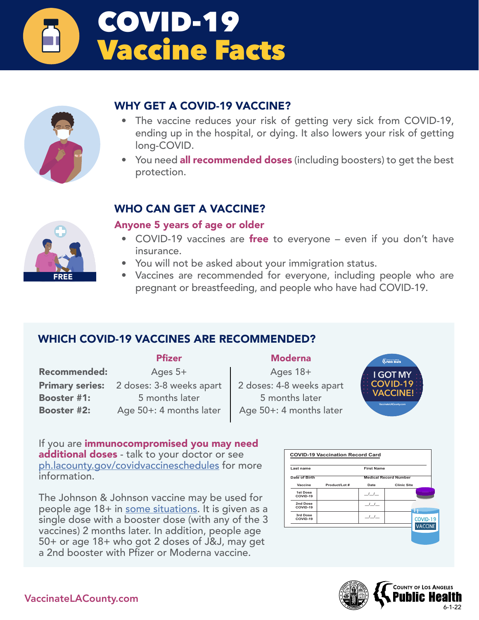



## WHY GET A COVID-19 VACCINE?

- The vaccine reduces your risk of getting very sick from COVID-19, ending up in the hospital, or dying. It also lowers your risk of getting long-COVID.
- You need all recommended doses (including boosters) to get the best protection.

## WHO CAN GET A VACCINE?



## Anyone 5 years of age or older

- COVID-19 vaccines are free to everyone even if you don't have insurance.
- You will not be asked about your immigration status.
- Vaccines are recommended for everyone, including people who are pregnant or breastfeeding, and people who have had COVID-19.

## WHICH COVID-19 VACCINES ARE RECOMMENDED?

### Pfizer Moderna

Recommended: Ages 5+ Ages 18+

**Primary series:** 2 doses: 3-8 weeks apart | 2 doses: 4-8 weeks apart Booster #1: 5 months later 5 months later **Booster #2:** Age 50+: 4 months later  $\vert$  Age 50+: 4 months later



If you are immunocompromised you may need additional doses - talk to your doctor or see [ph.lacounty.gov/covidvaccineschedules](http://ph.lacounty.gov/covidvaccineschedules) for more information.

The Johnson & Johnson vaccine may be used for people age 18+ in [some situations.](https://www.cdc.gov/coronavirus/2019-ncov/vaccines/different-vaccines/janssen.html) It is given as a single dose with a booster dose (with any of the 3 vaccines) 2 months later. In addition, people age 50+ or age 18+ who got 2 doses of J&J, may get a 2nd booster with Pfizer or Moderna vaccine.